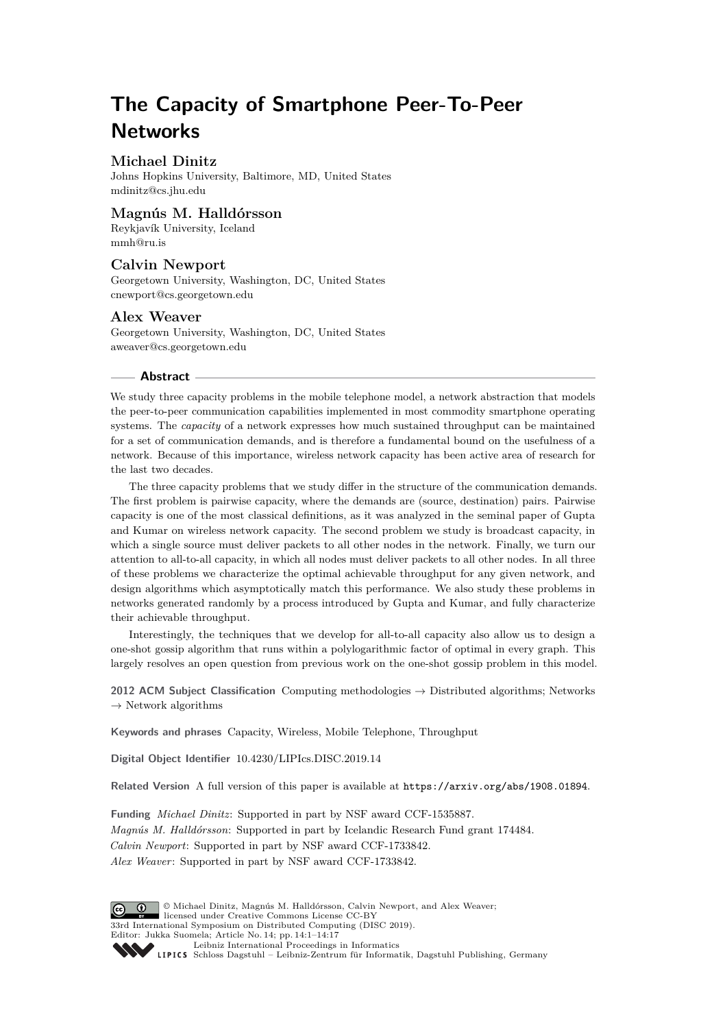# **The Capacity of Smartphone Peer-To-Peer Networks**

# **Michael Dinitz**

Johns Hopkins University, Baltimore, MD, United States [mdinitz@cs.jhu.edu](mailto:mdinitz@cs.jhu.edu)

## **Magnús M. Halldórsson**

Reykjavík University, Iceland [mmh@ru.is](mailto:mmh@ru.is)

# **Calvin Newport**

Georgetown University, Washington, DC, United States [cnewport@cs.georgetown.edu](mailto:cnewport@cs.georgetown.edu)

## **Alex Weaver**

Georgetown University, Washington, DC, United States [aweaver@cs.georgetown.edu](mailto:aweaver@cs.georgetown.edu)

#### **Abstract**

We study three capacity problems in the mobile telephone model, a network abstraction that models the peer-to-peer communication capabilities implemented in most commodity smartphone operating systems. The *capacity* of a network expresses how much sustained throughput can be maintained for a set of communication demands, and is therefore a fundamental bound on the usefulness of a network. Because of this importance, wireless network capacity has been active area of research for the last two decades.

The three capacity problems that we study differ in the structure of the communication demands. The first problem is pairwise capacity, where the demands are (source, destination) pairs. Pairwise capacity is one of the most classical definitions, as it was analyzed in the seminal paper of Gupta and Kumar on wireless network capacity. The second problem we study is broadcast capacity, in which a single source must deliver packets to all other nodes in the network. Finally, we turn our attention to all-to-all capacity, in which all nodes must deliver packets to all other nodes. In all three of these problems we characterize the optimal achievable throughput for any given network, and design algorithms which asymptotically match this performance. We also study these problems in networks generated randomly by a process introduced by Gupta and Kumar, and fully characterize their achievable throughput.

Interestingly, the techniques that we develop for all-to-all capacity also allow us to design a one-shot gossip algorithm that runs within a polylogarithmic factor of optimal in every graph. This largely resolves an open question from previous work on the one-shot gossip problem in this model.

**2012 ACM Subject Classification** Computing methodologies → Distributed algorithms; Networks  $\rightarrow$  Network algorithms

**Keywords and phrases** Capacity, Wireless, Mobile Telephone, Throughput

**Digital Object Identifier** [10.4230/LIPIcs.DISC.2019.14](https://doi.org/10.4230/LIPIcs.DISC.2019.14)

**Related Version** A full version of this paper is available at <https://arxiv.org/abs/1908.01894>.

**Funding** *Michael Dinitz*: Supported in part by NSF award CCF-1535887. *Magnús M. Halldórsson*: Supported in part by Icelandic Research Fund grant 174484. *Calvin Newport*: Supported in part by NSF award CCF-1733842. *Alex Weaver*: Supported in part by NSF award CCF-1733842.



© Michael Dinitz, Magnús M. Halldórsson, Calvin Newport, and Alex Weaver;  $\circledcirc$ licensed under Creative Commons License CC-BY 33rd International Symposium on Distributed Computing (DISC 2019). Editor: Jukka Suomela; Article No. 14; pp. 14:1–14[:17](#page-16-0) [Leibniz International Proceedings in Informatics](https://www.dagstuhl.de/lipics/)

[Schloss Dagstuhl – Leibniz-Zentrum für Informatik, Dagstuhl Publishing, Germany](https://www.dagstuhl.de)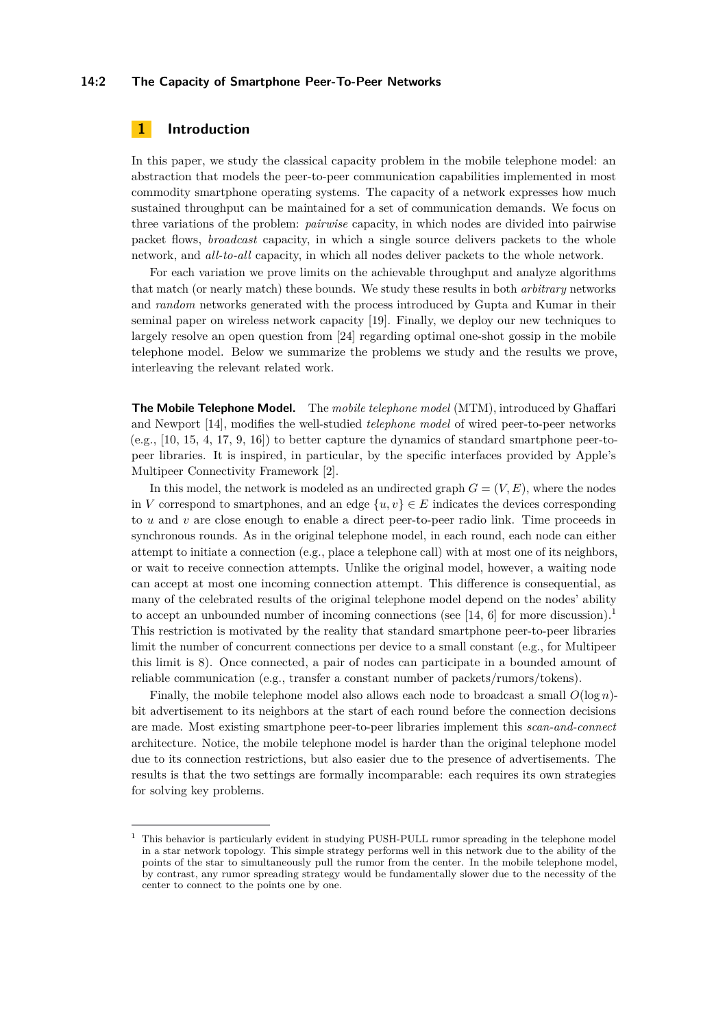#### **14:2 The Capacity of Smartphone Peer-To-Peer Networks**

# **1 Introduction**

In this paper, we study the classical capacity problem in the mobile telephone model: an abstraction that models the peer-to-peer communication capabilities implemented in most commodity smartphone operating systems. The capacity of a network expresses how much sustained throughput can be maintained for a set of communication demands. We focus on three variations of the problem: *pairwise* capacity, in which nodes are divided into pairwise packet flows, *broadcast* capacity, in which a single source delivers packets to the whole network, and *all-to-all* capacity, in which all nodes deliver packets to the whole network.

For each variation we prove limits on the achievable throughput and analyze algorithms that match (or nearly match) these bounds. We study these results in both *arbitrary* networks and *random* networks generated with the process introduced by Gupta and Kumar in their seminal paper on wireless network capacity [\[19\]](#page-16-1). Finally, we deploy our new techniques to largely resolve an open question from [\[24\]](#page-16-2) regarding optimal one-shot gossip in the mobile telephone model. Below we summarize the problems we study and the results we prove, interleaving the relevant related work.

**The Mobile Telephone Model.** The *mobile telephone model* (MTM), introduced by Ghaffari and Newport [\[14\]](#page-15-0), modifies the well-studied *telephone model* of wired peer-to-peer networks (e.g., [\[10,](#page-15-1) [15,](#page-15-2) [4,](#page-15-3) [17,](#page-15-4) [9,](#page-15-5) [16\]](#page-15-6)) to better capture the dynamics of standard smartphone peer-topeer libraries. It is inspired, in particular, by the specific interfaces provided by Apple's Multipeer Connectivity Framework [\[2\]](#page-15-7).

In this model, the network is modeled as an undirected graph  $G = (V, E)$ , where the nodes in *V* correspond to smartphones, and an edge  $\{u, v\} \in E$  indicates the devices corresponding to *u* and *v* are close enough to enable a direct peer-to-peer radio link. Time proceeds in synchronous rounds. As in the original telephone model, in each round, each node can either attempt to initiate a connection (e.g., place a telephone call) with at most one of its neighbors, or wait to receive connection attempts. Unlike the original model, however, a waiting node can accept at most one incoming connection attempt. This difference is consequential, as many of the celebrated results of the original telephone model depend on the nodes' ability to accept an unbounded number of incoming connections (see [\[14,](#page-15-0) [6\]](#page-15-8) for more discussion).<sup>[1](#page-1-0)</sup> This restriction is motivated by the reality that standard smartphone peer-to-peer libraries limit the number of concurrent connections per device to a small constant (e.g., for Multipeer this limit is 8). Once connected, a pair of nodes can participate in a bounded amount of reliable communication (e.g., transfer a constant number of packets/rumors/tokens).

Finally, the mobile telephone model also allows each node to broadcast a small *O*(log *n*) bit advertisement to its neighbors at the start of each round before the connection decisions are made. Most existing smartphone peer-to-peer libraries implement this *scan-and-connect* architecture. Notice, the mobile telephone model is harder than the original telephone model due to its connection restrictions, but also easier due to the presence of advertisements. The results is that the two settings are formally incomparable: each requires its own strategies for solving key problems.

<span id="page-1-0"></span><sup>&</sup>lt;sup>1</sup> This behavior is particularly evident in studying PUSH-PULL rumor spreading in the telephone model in a star network topology. This simple strategy performs well in this network due to the ability of the points of the star to simultaneously pull the rumor from the center. In the mobile telephone model, by contrast, any rumor spreading strategy would be fundamentally slower due to the necessity of the center to connect to the points one by one.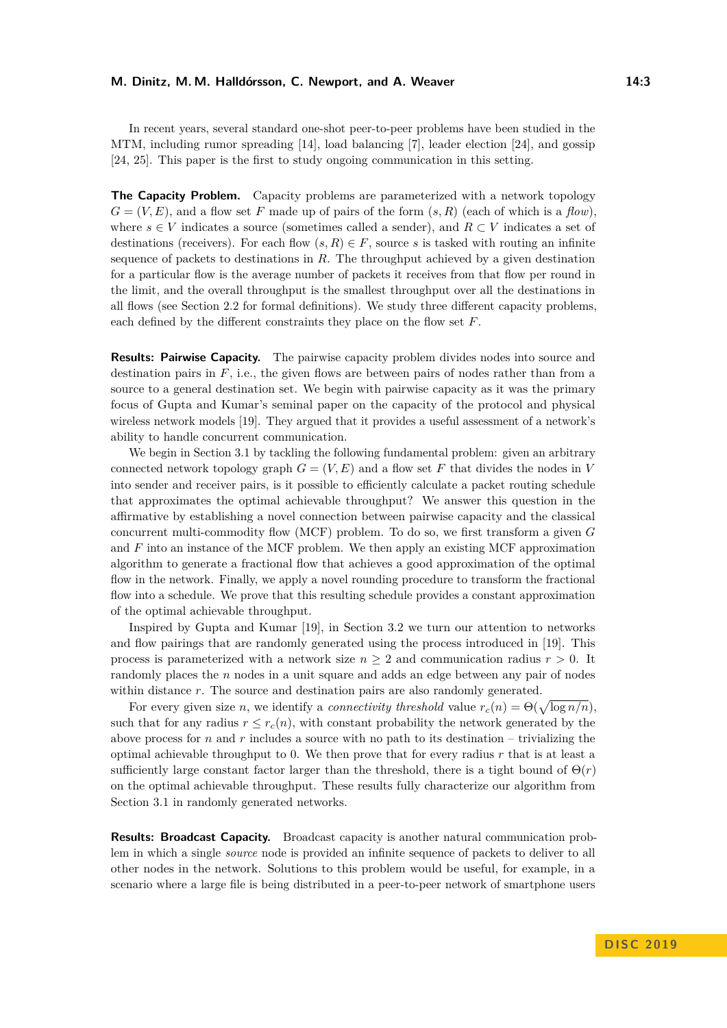In recent years, several standard one-shot peer-to-peer problems have been studied in the MTM, including rumor spreading [\[14\]](#page-15-0), load balancing [\[7\]](#page-15-9), leader election [\[24\]](#page-16-2), and gossip [\[24,](#page-16-2) [25\]](#page-16-3). This paper is the first to study ongoing communication in this setting.

**The Capacity Problem.** Capacity problems are parameterized with a network topology  $G = (V, E)$ , and a flow set *F* made up of pairs of the form  $(s, R)$  (each of which is a *flow*), where  $s \in V$  indicates a source (sometimes called a sender), and  $R \subset V$  indicates a set of destinations (receivers). For each flow  $(s, R) \in F$ , source *s* is tasked with routing an infinite sequence of packets to destinations in *R*. The throughput achieved by a given destination for a particular flow is the average number of packets it receives from that flow per round in the limit, and the overall throughput is the smallest throughput over all the destinations in all flows (see Section [2.2](#page-5-0) for formal definitions). We study three different capacity problems, each defined by the different constraints they place on the flow set *F*.

**Results: Pairwise Capacity.** The pairwise capacity problem divides nodes into source and destination pairs in  $F$ , i.e., the given flows are between pairs of nodes rather than from a source to a general destination set. We begin with pairwise capacity as it was the primary focus of Gupta and Kumar's seminal paper on the capacity of the protocol and physical wireless network models [\[19\]](#page-16-1). They argued that it provides a useful assessment of a network's ability to handle concurrent communication.

We begin in Section [3.1](#page-7-0) by tackling the following fundamental problem: given an arbitrary connected network topology graph  $G = (V, E)$  and a flow set F that divides the nodes in V into sender and receiver pairs, is it possible to efficiently calculate a packet routing schedule that approximates the optimal achievable throughput? We answer this question in the affirmative by establishing a novel connection between pairwise capacity and the classical concurrent multi-commodity flow (MCF) problem. To do so, we first transform a given *G* and *F* into an instance of the MCF problem. We then apply an existing MCF approximation algorithm to generate a fractional flow that achieves a good approximation of the optimal flow in the network. Finally, we apply a novel rounding procedure to transform the fractional flow into a schedule. We prove that this resulting schedule provides a constant approximation of the optimal achievable throughput.

Inspired by Gupta and Kumar [\[19\]](#page-16-1), in Section [3.2](#page-10-0) we turn our attention to networks and flow pairings that are randomly generated using the process introduced in [\[19\]](#page-16-1). This process is parameterized with a network size  $n \geq 2$  and communication radius  $r > 0$ . It randomly places the *n* nodes in a unit square and adds an edge between any pair of nodes within distance  $r$ . The source and destination pairs are also randomly generated.

For every given size *n*, we identify a *connectivity threshold* value  $r_c(n) = \Theta(\sqrt{\log n/n}),$ such that for any radius  $r \leq r_c(n)$ , with constant probability the network generated by the above process for *n* and *r* includes a source with no path to its destination – trivializing the optimal achievable throughput to 0. We then prove that for every radius *r* that is at least a sufficiently large constant factor larger than the threshold, there is a tight bound of  $\Theta(r)$ on the optimal achievable throughput. These results fully characterize our algorithm from Section [3.1](#page-7-0) in randomly generated networks.

**Results: Broadcast Capacity.** Broadcast capacity is another natural communication problem in which a single *source* node is provided an infinite sequence of packets to deliver to all other nodes in the network. Solutions to this problem would be useful, for example, in a scenario where a large file is being distributed in a peer-to-peer network of smartphone users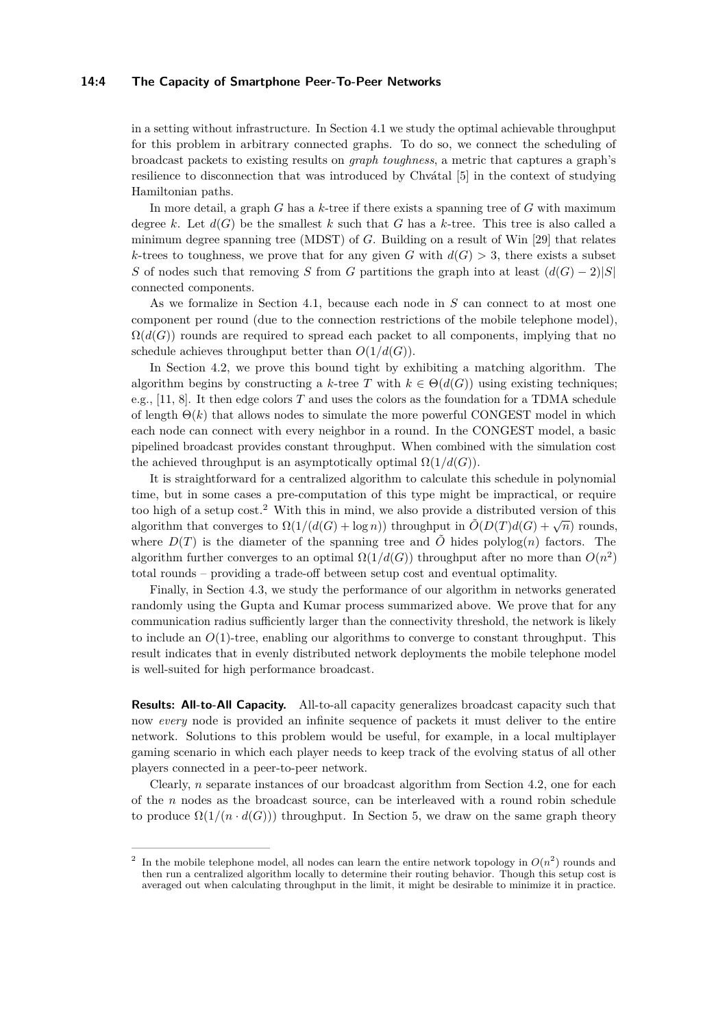#### **14:4 The Capacity of Smartphone Peer-To-Peer Networks**

in a setting without infrastructure. In Section [4.1](#page-12-0) we study the optimal achievable throughput for this problem in arbitrary connected graphs. To do so, we connect the scheduling of broadcast packets to existing results on *graph toughness*, a metric that captures a graph's resilience to disconnection that was introduced by Chvátal [\[5\]](#page-15-10) in the context of studying Hamiltonian paths.

In more detail, a graph *G* has a *k*-tree if there exists a spanning tree of *G* with maximum degree *k*. Let  $d(G)$  be the smallest *k* such that *G* has a *k*-tree. This tree is also called a minimum degree spanning tree (MDST) of *G*. Building on a result of Win [\[29\]](#page-16-4) that relates *k*-trees to toughness, we prove that for any given *G* with  $d(G) > 3$ , there exists a subset *S* of nodes such that removing *S* from *G* partitions the graph into at least  $(d(G) - 2)|S|$ connected components.

As we formalize in Section [4.1,](#page-12-0) because each node in *S* can connect to at most one component per round (due to the connection restrictions of the mobile telephone model),  $\Omega(d(G))$  rounds are required to spread each packet to all components, implying that no schedule achieves throughput better than  $O(1/d(G))$ .

In Section [4.2,](#page-13-0) we prove this bound tight by exhibiting a matching algorithm. The algorithm begins by constructing a *k*-tree *T* with  $k \in \Theta(d(G))$  using existing techniques; e.g., [\[11,](#page-15-11) [8\]](#page-15-12). It then edge colors *T* and uses the colors as the foundation for a TDMA schedule of length  $\Theta(k)$  that allows nodes to simulate the more powerful CONGEST model in which each node can connect with every neighbor in a round. In the CONGEST model, a basic pipelined broadcast provides constant throughput. When combined with the simulation cost the achieved throughput is an asymptotically optimal  $\Omega(1/d(G))$ .

It is straightforward for a centralized algorithm to calculate this schedule in polynomial time, but in some cases a pre-computation of this type might be impractical, or require too high of a setup cost.[2](#page-3-0) With this in mind, we also provide a distributed version of this algorithm that converges to  $\Omega(1/(d(G) + \log n))$  throughput in  $\tilde{O}(D(T)d(G) + \sqrt{n})$  rounds, where  $D(T)$  is the diameter of the spanning tree and  $\tilde{O}$  hides polylog(*n*) factors. The algorithm further converges to an optimal  $\Omega(1/d(G))$  throughput after no more than  $O(n^2)$ total rounds – providing a trade-off between setup cost and eventual optimality.

Finally, in Section [4.3,](#page-13-1) we study the performance of our algorithm in networks generated randomly using the Gupta and Kumar process summarized above. We prove that for any communication radius sufficiently larger than the connectivity threshold, the network is likely to include an *O*(1)-tree, enabling our algorithms to converge to constant throughput. This result indicates that in evenly distributed network deployments the mobile telephone model is well-suited for high performance broadcast.

**Results: All-to-All Capacity.** All-to-all capacity generalizes broadcast capacity such that now *every* node is provided an infinite sequence of packets it must deliver to the entire network. Solutions to this problem would be useful, for example, in a local multiplayer gaming scenario in which each player needs to keep track of the evolving status of all other players connected in a peer-to-peer network.

Clearly, *n* separate instances of our broadcast algorithm from Section [4.2,](#page-13-0) one for each of the *n* nodes as the broadcast source, can be interleaved with a round robin schedule to produce  $\Omega(1/(n \cdot d(G)))$  throughput. In Section [5,](#page-14-0) we draw on the same graph theory

<span id="page-3-0"></span><sup>2</sup> In the mobile telephone model, all nodes can learn the entire network topology in  $O(n^2)$  rounds and then run a centralized algorithm locally to determine their routing behavior. Though this setup cost is averaged out when calculating throughput in the limit, it might be desirable to minimize it in practice.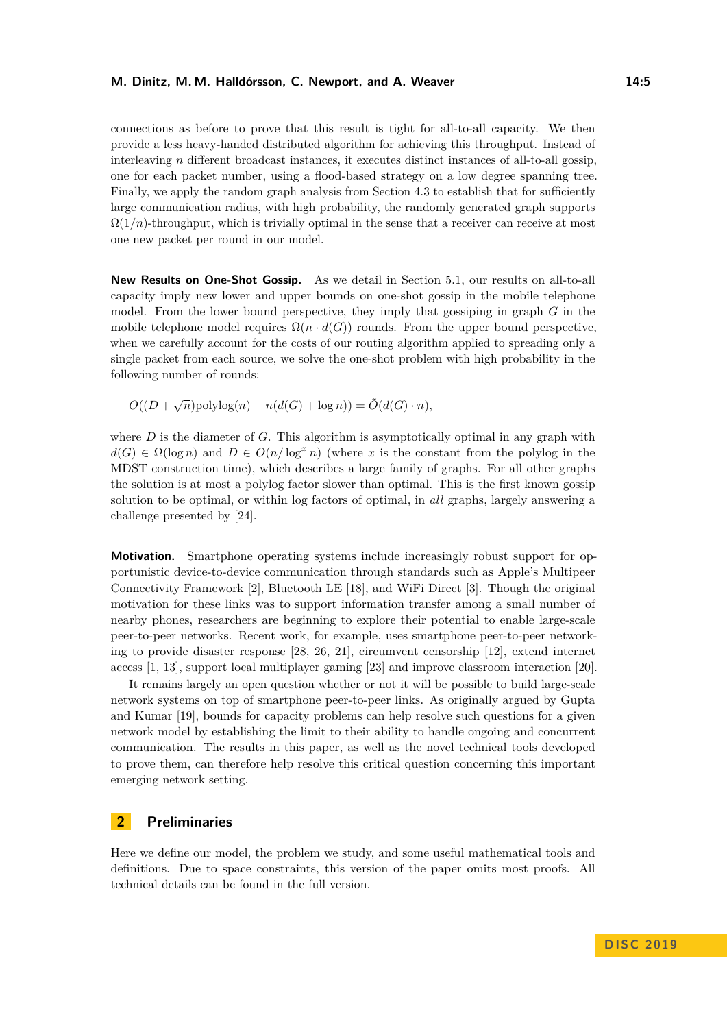connections as before to prove that this result is tight for all-to-all capacity. We then provide a less heavy-handed distributed algorithm for achieving this throughput. Instead of interleaving *n* different broadcast instances, it executes distinct instances of all-to-all gossip, one for each packet number, using a flood-based strategy on a low degree spanning tree. Finally, we apply the random graph analysis from Section [4.3](#page-13-1) to establish that for sufficiently large communication radius, with high probability, the randomly generated graph supports  $\Omega(1/n)$ -throughput, which is trivially optimal in the sense that a receiver can receive at most one new packet per round in our model.

**New Results on One-Shot Gossip.** As we detail in Section [5.1,](#page-14-1) our results on all-to-all capacity imply new lower and upper bounds on one-shot gossip in the mobile telephone model. From the lower bound perspective, they imply that gossiping in graph *G* in the mobile telephone model requires  $\Omega(n \cdot d(G))$  rounds. From the upper bound perspective, when we carefully account for the costs of our routing algorithm applied to spreading only a single packet from each source, we solve the one-shot problem with high probability in the following number of rounds:

 $O((D + \sqrt{n})\text{polylog}(n) + n(d(G) + \log n)) = \tilde{O}(d(G) \cdot n)$ ,

where *D* is the diameter of *G*. This algorithm is asymptotically optimal in any graph with  $d(G) \in \Omega(\log n)$  and  $D \in O(n/\log^x n)$  (where *x* is the constant from the polylog in the MDST construction time), which describes a large family of graphs. For all other graphs the solution is at most a polylog factor slower than optimal. This is the first known gossip solution to be optimal, or within log factors of optimal, in *all* graphs, largely answering a challenge presented by [\[24\]](#page-16-2).

**Motivation.** Smartphone operating systems include increasingly robust support for opportunistic device-to-device communication through standards such as Apple's Multipeer Connectivity Framework [\[2\]](#page-15-7), Bluetooth LE [\[18\]](#page-15-13), and WiFi Direct [\[3\]](#page-15-14). Though the original motivation for these links was to support information transfer among a small number of nearby phones, researchers are beginning to explore their potential to enable large-scale peer-to-peer networks. Recent work, for example, uses smartphone peer-to-peer networking to provide disaster response [\[28,](#page-16-5) [26,](#page-16-6) [21\]](#page-16-7), circumvent censorship [\[12\]](#page-15-15), extend internet access [\[1,](#page-15-16) [13\]](#page-15-17), support local multiplayer gaming [\[23\]](#page-16-8) and improve classroom interaction [\[20\]](#page-16-9).

It remains largely an open question whether or not it will be possible to build large-scale network systems on top of smartphone peer-to-peer links. As originally argued by Gupta and Kumar [\[19\]](#page-16-1), bounds for capacity problems can help resolve such questions for a given network model by establishing the limit to their ability to handle ongoing and concurrent communication. The results in this paper, as well as the novel technical tools developed to prove them, can therefore help resolve this critical question concerning this important emerging network setting.

# **2 Preliminaries**

Here we define our model, the problem we study, and some useful mathematical tools and definitions. Due to space constraints, this version of the paper omits most proofs. All technical details can be found in the full version.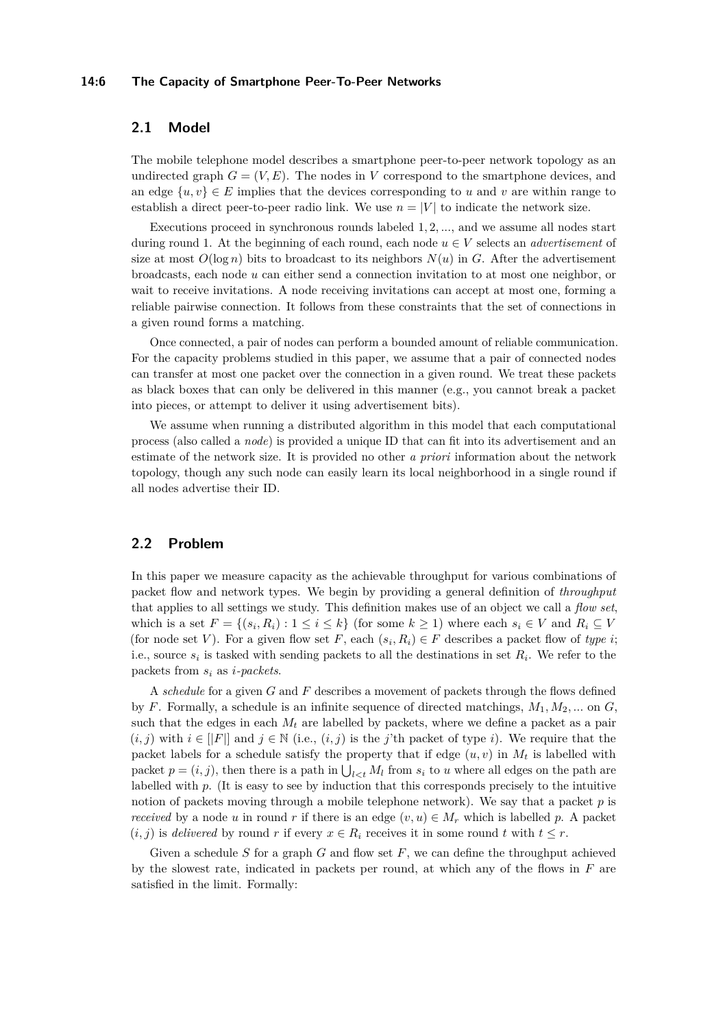#### **14:6 The Capacity of Smartphone Peer-To-Peer Networks**

# **2.1 Model**

The mobile telephone model describes a smartphone peer-to-peer network topology as an undirected graph  $G = (V, E)$ . The nodes in *V* correspond to the smartphone devices, and an edge  $\{u, v\} \in E$  implies that the devices corresponding to *u* and *v* are within range to establish a direct peer-to-peer radio link. We use  $n = |V|$  to indicate the network size.

Executions proceed in synchronous rounds labeled 1*,* 2*, ...*, and we assume all nodes start during round 1. At the beginning of each round, each node  $u \in V$  selects an *advertisement* of size at most  $O(\log n)$  bits to broadcast to its neighbors  $N(u)$  in *G*. After the advertisement broadcasts, each node *u* can either send a connection invitation to at most one neighbor, or wait to receive invitations. A node receiving invitations can accept at most one, forming a reliable pairwise connection. It follows from these constraints that the set of connections in a given round forms a matching.

Once connected, a pair of nodes can perform a bounded amount of reliable communication. For the capacity problems studied in this paper, we assume that a pair of connected nodes can transfer at most one packet over the connection in a given round. We treat these packets as black boxes that can only be delivered in this manner (e.g., you cannot break a packet into pieces, or attempt to deliver it using advertisement bits).

We assume when running a distributed algorithm in this model that each computational process (also called a *node*) is provided a unique ID that can fit into its advertisement and an estimate of the network size. It is provided no other *a priori* information about the network topology, though any such node can easily learn its local neighborhood in a single round if all nodes advertise their ID.

# <span id="page-5-0"></span>**2.2 Problem**

In this paper we measure capacity as the achievable throughput for various combinations of packet flow and network types. We begin by providing a general definition of *throughput* that applies to all settings we study. This definition makes use of an object we call a *flow set*, which is a set  $F = \{(s_i, R_i) : 1 \leq i \leq k\}$  (for some  $k \geq 1$ ) where each  $s_i \in V$  and  $R_i \subseteq V$ (for node set *V*). For a given flow set *F*, each  $(s_i, R_i) \in F$  describes a packet flow of *type i*; i.e., source  $s_i$  is tasked with sending packets to all the destinations in set  $R_i$ . We refer to the packets from *s<sup>i</sup>* as *i-packets*.

A *schedule* for a given *G* and *F* describes a movement of packets through the flows defined by *F*. Formally, a schedule is an infinite sequence of directed matchings,  $M_1, M_2, ...$  on  $G$ , such that the edges in each  $M_t$  are labelled by packets, where we define a packet as a pair  $(i, j)$  with  $i \in [F]$  and  $j \in \mathbb{N}$  (i.e.,  $(i, j)$  is the *j*'th packet of type *i*). We require that the packet labels for a schedule satisfy the property that if edge  $(u, v)$  in  $M_t$  is labelled with packet  $p = (i, j)$ , then there is a path in  $\bigcup_{l < t} M_l$  from  $s_i$  to *u* where all edges on the path are labelled with *p*. (It is easy to see by induction that this corresponds precisely to the intuitive notion of packets moving through a mobile telephone network). We say that a packet *p* is *received* by a node *u* in round *r* if there is an edge  $(v, u) \in M_r$  which is labelled *p*. A packet  $(i, j)$  is *delivered* by round *r* if every  $x \in R_i$  receives it in some round *t* with  $t \leq r$ .

Given a schedule *S* for a graph *G* and flow set *F*, we can define the throughput achieved by the slowest rate, indicated in packets per round, at which any of the flows in *F* are satisfied in the limit. Formally: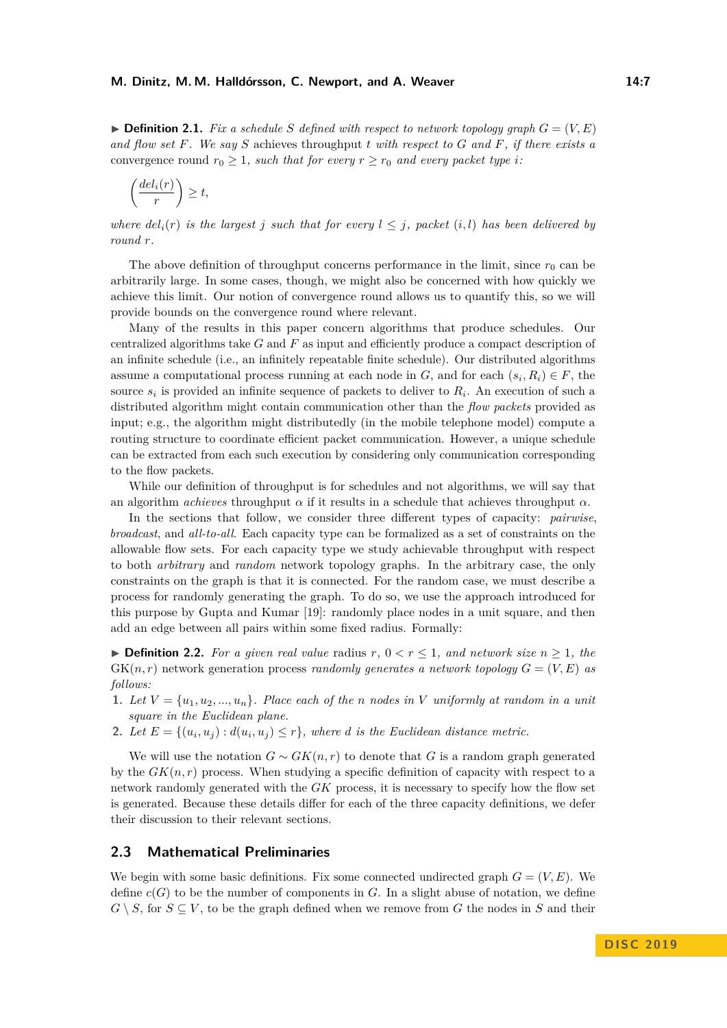$\triangleright$  **Definition 2.1.** *Fix a schedule S* defined with respect to network topology graph  $G = (V, E)$ *and flow set F. We say S* achieves throughput *t with respect to G and F, if there exists a* convergence round  $r_0 \geq 1$ , such that for every  $r \geq r_0$  and every packet type *i*:

$$
\left(\frac{del_i(r)}{r}\right) \ge t,
$$

*where*  $del_i(r)$  *is the largest j such that for every*  $l \leq j$ *, packet*  $(i, l)$  *has been delivered by round r.*

The above definition of throughput concerns performance in the limit, since  $r_0$  can be arbitrarily large. In some cases, though, we might also be concerned with how quickly we achieve this limit. Our notion of convergence round allows us to quantify this, so we will provide bounds on the convergence round where relevant.

Many of the results in this paper concern algorithms that produce schedules. Our centralized algorithms take *G* and *F* as input and efficiently produce a compact description of an infinite schedule (i.e., an infinitely repeatable finite schedule). Our distributed algorithms assume a computational process running at each node in  $G$ , and for each  $(s_i, R_i) \in F$ , the source  $s_i$  is provided an infinite sequence of packets to deliver to  $R_i$ . An execution of such a distributed algorithm might contain communication other than the *flow packets* provided as input; e.g., the algorithm might distributedly (in the mobile telephone model) compute a routing structure to coordinate efficient packet communication. However, a unique schedule can be extracted from each such execution by considering only communication corresponding to the flow packets.

While our definition of throughput is for schedules and not algorithms, we will say that an algorithm *achieves* throughput  $\alpha$  if it results in a schedule that achieves throughput  $\alpha$ .

In the sections that follow, we consider three different types of capacity: *pairwise*, *broadcast*, and *all-to-all*. Each capacity type can be formalized as a set of constraints on the allowable flow sets. For each capacity type we study achievable throughput with respect to both *arbitrary* and *random* network topology graphs. In the arbitrary case, the only constraints on the graph is that it is connected. For the random case, we must describe a process for randomly generating the graph. To do so, we use the approach introduced for this purpose by Gupta and Kumar [\[19\]](#page-16-1): randomly place nodes in a unit square, and then add an edge between all pairs within some fixed radius. Formally:

▶ **Definition 2.2.** *For a given real value* radius  $r, 0 < r \leq 1$ *, and network size*  $n \geq 1$ *, the*  $GK(n,r)$  network generation process *randomly generates a network topology*  $G = (V, E)$  *as follows:*

- **1.** Let  $V = \{u_1, u_2, ..., u_n\}$ . Place each of the *n* nodes in *V* uniformly at random in a unit *square in the Euclidean plane.*
- **2.** *Let*  $E = \{(u_i, u_j) : d(u_i, u_j) \leq r\}$ , where *d is the Euclidean distance metric.*

We will use the notation  $G \sim GK(n,r)$  to denote that *G* is a random graph generated by the  $GK(n,r)$  process. When studying a specific definition of capacity with respect to a network randomly generated with the *GK* process, it is necessary to specify how the flow set is generated. Because these details differ for each of the three capacity definitions, we defer their discussion to their relevant sections.

## <span id="page-6-0"></span>**2.3 Mathematical Preliminaries**

We begin with some basic definitions. Fix some connected undirected graph  $G = (V, E)$ . We define  $c(G)$  to be the number of components in  $G$ . In a slight abuse of notation, we define  $G \setminus S$ , for  $S \subseteq V$ , to be the graph defined when we remove from *G* the nodes in *S* and their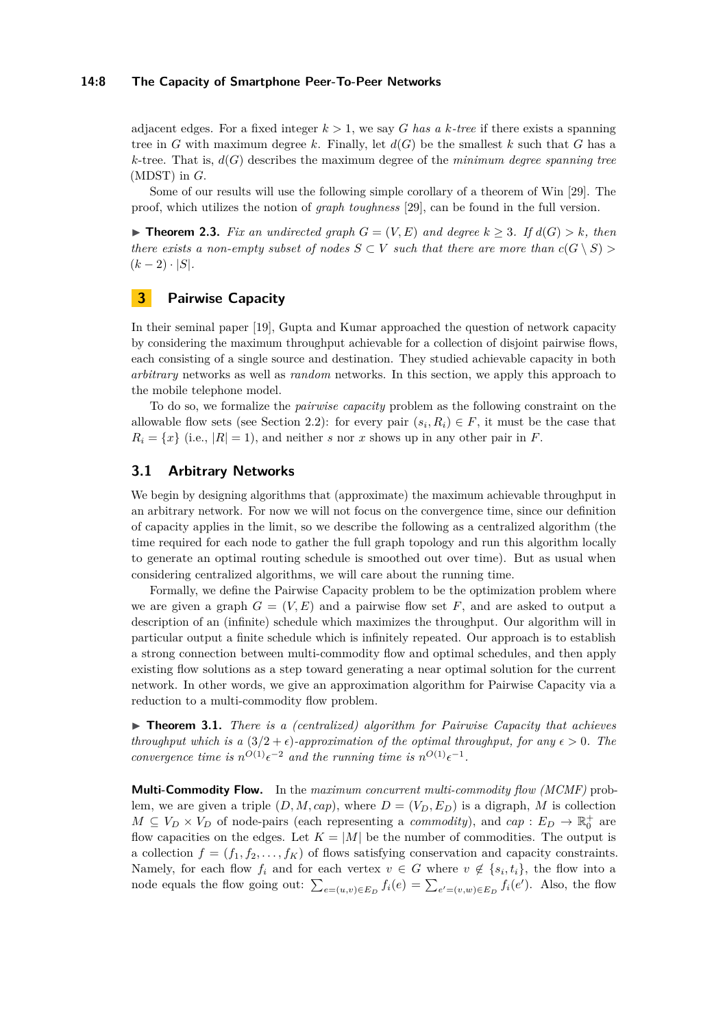#### **14:8 The Capacity of Smartphone Peer-To-Peer Networks**

adjacent edges. For a fixed integer  $k > 1$ , we say G has a k-tree if there exists a spanning tree in *G* with maximum degree *k*. Finally, let  $d(G)$  be the smallest *k* such that *G* has a  $k$ -tree. That is,  $d(G)$  describes the maximum degree of the *minimum degree spanning tree* (MDST) in *G*.

Some of our results will use the following simple corollary of a theorem of Win [\[29\]](#page-16-4). The proof, which utilizes the notion of *graph toughness* [\[29\]](#page-16-4), can be found in the full version.

<span id="page-7-2"></span>▶ **Theorem 2.3.** *Fix an undirected graph*  $G = (V, E)$  *and degree*  $k ≥ 3$ *. If*  $d(G) > k$ *, then there exists a non-empty subset of nodes*  $S \subset V$  *such that there are more than*  $c(G \setminus S)$  $(k-2) \cdot |S|$ .

# **3 Pairwise Capacity**

In their seminal paper [\[19\]](#page-16-1), Gupta and Kumar approached the question of network capacity by considering the maximum throughput achievable for a collection of disjoint pairwise flows, each consisting of a single source and destination. They studied achievable capacity in both *arbitrary* networks as well as *random* networks. In this section, we apply this approach to the mobile telephone model.

To do so, we formalize the *pairwise capacity* problem as the following constraint on the allowable flow sets (see Section [2.2\)](#page-5-0): for every pair  $(s_i, R_i) \in F$ , it must be the case that  $R_i = \{x\}$  (i.e.,  $|R| = 1$ ), and neither *s* nor *x* shows up in any other pair in *F*.

### <span id="page-7-0"></span>**3.1 Arbitrary Networks**

We begin by designing algorithms that (approximate) the maximum achievable throughput in an arbitrary network. For now we will not focus on the convergence time, since our definition of capacity applies in the limit, so we describe the following as a centralized algorithm (the time required for each node to gather the full graph topology and run this algorithm locally to generate an optimal routing schedule is smoothed out over time). But as usual when considering centralized algorithms, we will care about the running time.

Formally, we define the Pairwise Capacity problem to be the optimization problem where we are given a graph  $G = (V, E)$  and a pairwise flow set F, and are asked to output a description of an (infinite) schedule which maximizes the throughput. Our algorithm will in particular output a finite schedule which is infinitely repeated. Our approach is to establish a strong connection between multi-commodity flow and optimal schedules, and then apply existing flow solutions as a step toward generating a near optimal solution for the current network. In other words, we give an approximation algorithm for Pairwise Capacity via a reduction to a multi-commodity flow problem.

<span id="page-7-1"></span>▶ **Theorem 3.1.** *There is a (centralized) algorithm for Pairwise Capacity that achieves throughput which is a*  $(3/2 + \epsilon)$ *-approximation of the optimal throughput, for any*  $\epsilon > 0$ *. The convergence time is*  $n^{O(1)} \epsilon^{-2}$  *and the running time is*  $n^{O(1)} \epsilon^{-1}$ *.* 

**Multi-Commodity Flow.** In the *maximum concurrent multi-commodity flow (MCMF)* problem, we are given a triple  $(D, M, cap)$ , where  $D = (V_D, E_D)$  is a digraph, M is collection  $M \subseteq V_D \times V_D$  of node-pairs (each representing a *commodity*), and  $cap : E_D \to \mathbb{R}_0^+$  are flow capacities on the edges. Let  $K = |M|$  be the number of commodities. The output is a collection  $f = (f_1, f_2, \ldots, f_K)$  of flows satisfying conservation and capacity constraints. Namely, for each flow  $f_i$  and for each vertex  $v \in G$  where  $v \notin \{s_i, t_i\}$ , the flow into a node equals the flow going out:  $\sum_{e=(u,v)\in E_D} f_i(e) = \sum_{e'=(v,w)\in E_D} f_i(e')$ . Also, the flow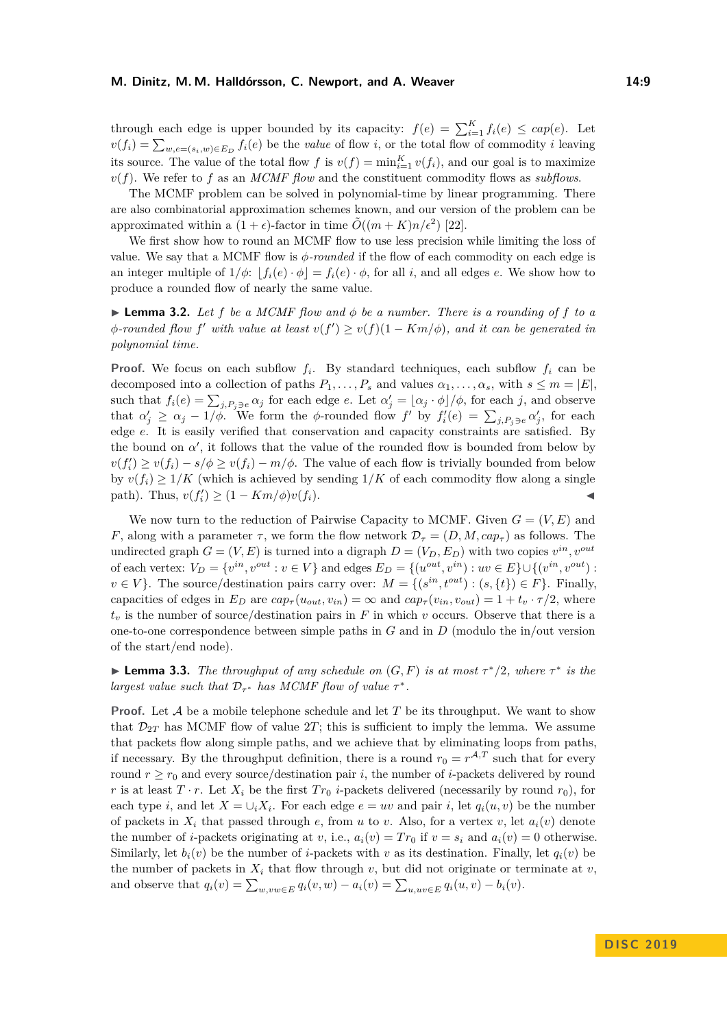through each edge is upper bounded by its capacity:  $f(e) = \sum_{i=1}^{K} f_i(e) \le cap(e)$ . Let  $v(f_i) = \sum_{w,e=(s_i,w)\in E_D} f_i(e)$  be the *value* of flow *i*, or the total flow of commodity *i* leaving its source. The value of the total flow *f* is  $v(f) = \min_{i=1}^K v(f_i)$ , and our goal is to maximize *v*(*f*). We refer to *f* as an *MCMF flow* and the constituent commodity flows as *subflows*.

The MCMF problem can be solved in polynomial-time by linear programming. There are also combinatorial approximation schemes known, and our version of the problem can be approximated within a  $(1 + \epsilon)$ -factor in time  $\tilde{O}((m + K)n/\epsilon^2)$  [\[22\]](#page-16-10).

We first show how to round an MCMF flow to use less precision while limiting the loss of value. We say that a MCMF flow is *φ-rounded* if the flow of each commodity on each edge is an integer multiple of  $1/\phi$ :  $|f_i(e) \cdot \phi| = f_i(e) \cdot \phi$ , for all *i*, and all edges *e*. We show how to produce a rounded flow of nearly the same value.

<span id="page-8-0"></span> $\blacktriangleright$  **Lemma 3.2.** Let *f* be a MCMF flow and  $\phi$  be a number. There is a rounding of *f* to a  $\phi$ *-rounded flow*  $f'$  *with value at least*  $v(f') \geq v(f)(1 - Km/\phi)$ *, and it can be generated in polynomial time.*

**Proof.** We focus on each subflow  $f_i$ . By standard techniques, each subflow  $f_i$  can be decomposed into a collection of paths  $P_1, \ldots, P_s$  and values  $\alpha_1, \ldots, \alpha_s$ , with  $s \leq m = |E|$ , such that  $f_i(e) = \sum_{j, P_j \ni e} \alpha_j$  for each edge *e*. Let  $\alpha'_j = \lfloor \alpha_j \cdot \phi \rfloor / \phi$ , for each *j*, and observe that  $\alpha'_j \geq \alpha_j - 1/\phi$ . We form the  $\phi$ -rounded flow  $f'$  by  $f'_i(e) = \sum_{j,P_j \ni e} \alpha'_j$ , for each edge *e*. It is easily verified that conservation and capacity constraints are satisfied. By the bound on  $\alpha'$ , it follows that the value of the rounded flow is bounded from below by  $v(f'_i) \ge v(f_i) - s/\phi \ge v(f_i) - m/\phi$ . The value of each flow is trivially bounded from below by  $v(f_i) \geq 1/K$  (which is achieved by sending  $1/K$  of each commodity flow along a single path). Thus,  $v(f'_i) \geq (1 - Km/\phi)v(f_i)$ .

We now turn to the reduction of Pairwise Capacity to MCMF. Given  $G = (V, E)$  and *F*, along with a parameter *τ*, we form the flow network  $\mathcal{D}_{\tau} = (D, M, cap_{\tau})$  as follows. The undirected graph  $G = (V, E)$  is turned into a digraph  $D = (V_D, E_D)$  with two copies  $v^{in}$ ,  $v^{out}$ of each vertex:  $V_D = \{v^{in}, v^{out} : v \in V\}$  and edges  $E_D = \{(u^{out}, v^{in}) : uv \in E\} \cup \{(v^{in}, v^{out}) : v^{out}\}$  $v \in V$ . The source/destination pairs carry over:  $M = \{(s^{in}, t^{out}) : (s, \{t\}) \in F\}$ . Finally, capacities of edges in  $E_D$  are  $cap_\tau(u_{out}, v_{in}) = \infty$  and  $cap_\tau(v_{in}, v_{out}) = 1 + t_v \cdot \tau/2$ , where  $t<sub>v</sub>$  is the number of source/destination pairs in *F* in which *v* occurs. Observe that there is a one-to-one correspondence between simple paths in *G* and in *D* (modulo the in/out version of the start/end node).

<span id="page-8-1"></span>**► Lemma 3.3.** *The throughput of any schedule on*  $(G, F)$  *is at most*  $\tau$ <sup>\*</sup>/2*, where*  $\tau$ <sup>\*</sup> *is the largest value such that*  $D_{\tau^*}$  *has MCMF flow of value*  $\tau^*$ *.* 

**Proof.** Let  $A$  be a mobile telephone schedule and let  $T$  be its throughput. We want to show that  $\mathcal{D}_{2T}$  has MCMF flow of value 2*T*; this is sufficient to imply the lemma. We assume that packets flow along simple paths, and we achieve that by eliminating loops from paths, if necessary. By the throughput definition, there is a round  $r_0 = r^{\mathcal{A},T}$  such that for every round  $r \geq r_0$  and every source/destination pair *i*, the number of *i*-packets delivered by round *r* is at least  $T \cdot r$ . Let  $X_i$  be the first  $Tr_0$  *i*-packets delivered (necessarily by round  $r_0$ ), for each type *i*, and let  $X = \bigcup_i X_i$ . For each edge  $e = uv$  and pair *i*, let  $q_i(u, v)$  be the number of packets in  $X_i$  that passed through  $e$ , from  $u$  to  $v$ . Also, for a vertex  $v$ , let  $a_i(v)$  denote the number of *i*-packets originating at *v*, i.e.,  $a_i(v) = Tr_0$  if  $v = s_i$  and  $a_i(v) = 0$  otherwise. Similarly, let  $b_i(v)$  be the number of *i*-packets with *v* as its destination. Finally, let  $q_i(v)$  be the number of packets in  $X_i$  that flow through  $v$ , but did not originate or terminate at  $v$ , and observe that  $q_i(v) = \sum_{w,vw \in E} q_i(v,w) - a_i(v) = \sum_{u,uv \in E} q_i(u,v) - b_i(v)$ .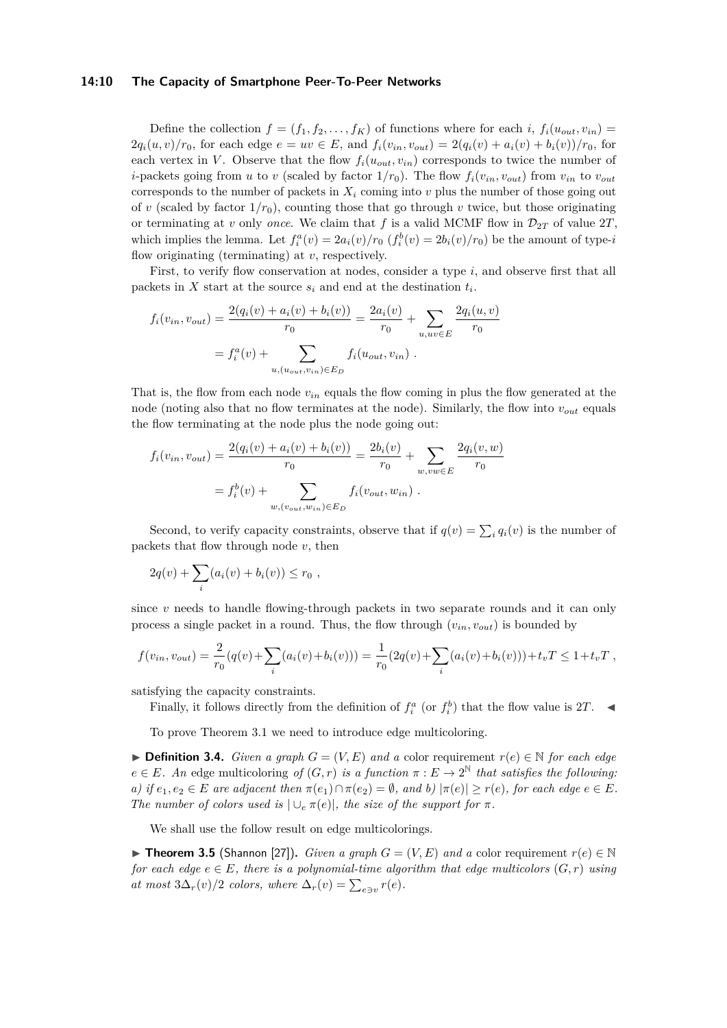#### **14:10 The Capacity of Smartphone Peer-To-Peer Networks**

Define the collection  $f = (f_1, f_2, \ldots, f_K)$  of functions where for each *i*,  $f_i(u_{out}, v_{in})$  $2q_i(u, v)/r_0$ , for each edge  $e = uv \in E$ , and  $f_i(v_{in}, v_{out}) = 2(q_i(v) + a_i(v) + b_i(v))/r_0$ , for each vertex in *V*. Observe that the flow  $f_i(u_{out}, v_{in})$  corresponds to twice the number of *i*-packets going from *u* to *v* (scaled by factor  $1/r_0$ ). The flow  $f_i(v_{in}, v_{out})$  from  $v_{in}$  to  $v_{out}$ corresponds to the number of packets in  $X_i$  coming into  $v$  plus the number of those going out of *v* (scaled by factor  $1/r_0$ ), counting those that go through *v* twice, but those originating or terminating at *v* only *once*. We claim that f is a valid MCMF flow in  $\mathcal{D}_{2T}$  of value  $2T$ , which implies the lemma. Let  $f_i^a(v) = 2a_i(v)/r_0$  ( $f_i^b(v) = 2b_i(v)/r_0$ ) be the amount of type-*i* flow originating (terminating) at *v*, respectively.

First, to verify flow conservation at nodes, consider a type *i*, and observe first that all packets in *X* start at the source  $s_i$  and end at the destination  $t_i$ .

$$
f_i(v_{in}, v_{out}) = \frac{2(q_i(v) + a_i(v) + b_i(v))}{r_0} = \frac{2a_i(v)}{r_0} + \sum_{u, uv \in E} \frac{2q_i(u, v)}{r_0}
$$

$$
= f_i^a(v) + \sum_{u, (u_{out}, v_{in}) \in E_D} f_i(u_{out}, v_{in}) .
$$

That is, the flow from each node  $v_{in}$  equals the flow coming in plus the flow generated at the node (noting also that no flow terminates at the node). Similarly, the flow into *vout* equals the flow terminating at the node plus the node going out:

$$
f_i(v_{in}, v_{out}) = \frac{2(q_i(v) + a_i(v) + b_i(v))}{r_0} = \frac{2b_i(v)}{r_0} + \sum_{w, vw \in E} \frac{2q_i(v, w)}{r_0}
$$

$$
= f_i^b(v) + \sum_{w, (v_{out}, w_{in}) \in E_D} f_i(v_{out}, w_{in}) .
$$

Second, to verify capacity constraints, observe that if  $q(v) = \sum_i q_i(v)$  is the number of packets that flow through node *v*, then

$$
2q(v) + \sum_{i} (a_i(v) + b_i(v)) \le r_0 ,
$$

since *v* needs to handle flowing-through packets in two separate rounds and it can only process a single packet in a round. Thus, the flow through (*vin, vout*) is bounded by

$$
f(v_{in}, v_{out}) = \frac{2}{r_0}(q(v) + \sum_i (a_i(v) + b_i(v))) = \frac{1}{r_0}(2q(v) + \sum_i (a_i(v) + b_i(v))) + t_vT \le 1 + t_vT,
$$

satisfying the capacity constraints.

Finally, it follows directly from the definition of  $f_i^a$  (or  $f_i^b$ ) that the flow value is 2*T*.

To prove Theorem [3.1](#page-7-1) we need to introduce edge multicoloring.

**► Definition 3.4.** *Given a graph*  $G = (V, E)$  *and a* color requirement  $r(e) \in \mathbb{N}$  *for each edge*  $e \in E$ *. An* edge multicoloring of  $(G, r)$  *is a function*  $\pi : E \to 2^{\mathbb{N}}$  *that satisfies the following: a)* if  $e_1, e_2 \in E$  are adjacent then  $\pi(e_1) \cap \pi(e_2) = \emptyset$ , and b)  $|\pi(e)| \geq r(e)$ , for each edge  $e \in E$ . *The number of colors used is*  $|\cup_e \pi(e)|$ *, the size of the support for*  $\pi$ *.* 

We shall use the follow result on edge multicolorings.

<span id="page-9-0"></span>**► Theorem 3.5** (Shannon [\[27\]](#page-16-11)). *Given a graph*  $G = (V, E)$  *and a* color requirement  $r(e) \in \mathbb{N}$ *for each edge*  $e \in E$ , there is a polynomial-time algorithm that edge multicolors  $(G, r)$  using *at most*  $3\Delta_r(v)/2$  *colors, where*  $\Delta_r(v) = \sum_{e \ni v} r(e)$ *.*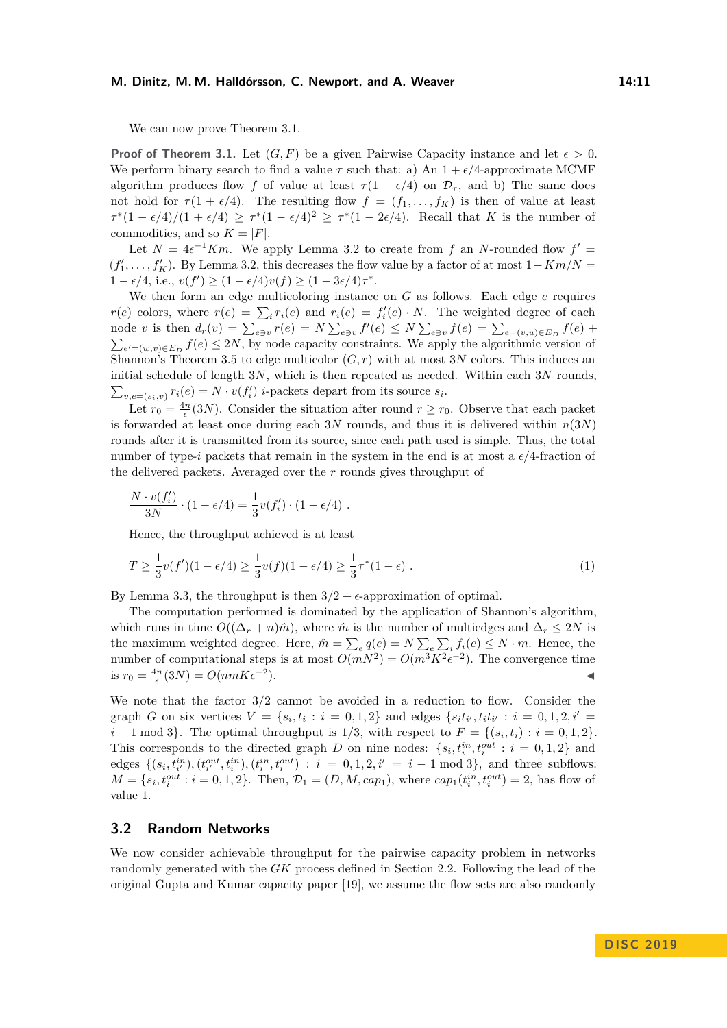#### **M. Dinitz, M. M. Halldórsson, C. Newport, and A. Weaver 14:11**

We can now prove Theorem [3.1.](#page-7-1)

**Proof of Theorem [3.1.](#page-7-1)** Let  $(G, F)$  be a given Pairwise Capacity instance and let  $\epsilon > 0$ . We perform binary search to find a value  $\tau$  such that: a) An  $1 + \epsilon/4$ -approximate MCMF algorithm produces flow *f* of value at least  $\tau(1 - \epsilon/4)$  on  $\mathcal{D}_{\tau}$ , and b) The same does not hold for  $\tau(1 + \epsilon/4)$ . The resulting flow  $f = (f_1, \ldots, f_K)$  is then of value at least  $\tau^*(1 - \epsilon/4)/(1 + \epsilon/4) \geq \tau^*(1 - \epsilon/4)^2 \geq \tau^*(1 - 2\epsilon/4)$ . Recall that *K* is the number of commodities, and so  $K = |F|$ .

Let  $N = 4\epsilon^{-1} Km$ . We apply Lemma [3.2](#page-8-0) to create from f an N-rounded flow  $f' =$  $(f'_1, \ldots, f'_K)$ . By Lemma [3.2,](#page-8-0) this decreases the flow value by a factor of at most  $1 - Km/N =$  $1 - \epsilon/4$ , i.e.,  $v(f') \ge (1 - \epsilon/4)v(f) \ge (1 - 3\epsilon/4)\tau^*$ .

We then form an edge multicoloring instance on *G* as follows. Each edge *e* requires *r*(*e*) colors, where  $r(e) = \sum_i r_i(e)$  and  $r_i(e) = f'_i(e) \cdot N$ . The weighted degree of each node v is then  $d_r(v) = \sum_{e \ni v} r(e) = N \sum_{e \ni v} f'(e) \le N \sum_{e \ni v} f(e) = \sum_{e=(v,u) \in E_D} f(e) +$  $\sum_{e'=(w,v)\in E_D} f(e) \le 2N$ , by node capacity constraints. We apply the algorithmic version of Shannon's Theorem [3.5](#page-9-0) to edge multicolor  $(G, r)$  with at most 3*N* colors. This induces an initial schedule of length 3*N*, which is then repeated as needed. Within each 3*N* rounds,  $\sum_{v,e=(s_i,v)} r_i(e) = N \cdot v(f'_i)$  *i*-packets depart from its source  $s_i$ .

Let  $r_0 = \frac{4n}{\epsilon}(3N)$ . Consider the situation after round  $r \ge r_0$ . Observe that each packet is forwarded at least once during each 3*N* rounds, and thus it is delivered within *n*(3*N*) rounds after it is transmitted from its source, since each path used is simple. Thus, the total number of type-*i* packets that remain in the system in the end is at most a  $\epsilon/4$ -fraction of the delivered packets. Averaged over the *r* rounds gives throughput of

$$
\frac{N \cdot v(f_i')}{3N} \cdot (1 - \epsilon/4) = \frac{1}{3}v(f_i') \cdot (1 - \epsilon/4) .
$$

Hence, the throughput achieved is at least

$$
T \ge \frac{1}{3}v(f')(1 - \epsilon/4) \ge \frac{1}{3}v(f)(1 - \epsilon/4) \ge \frac{1}{3}\tau^*(1 - \epsilon) \tag{1}
$$

By Lemma [3.3,](#page-8-1) the throughput is then  $3/2 + \epsilon$ -approximation of optimal.

The computation performed is dominated by the application of Shannon's algorithm, which runs in time  $O((\Delta_r + n)\hat{m})$ , where  $\hat{m}$  is the number of multiedges and  $\Delta_r \leq 2N$  is the maximum weighted degree. Here,  $\hat{m} = \sum_{e} q(e) = N \sum_{e} \sum_{i} f_i(e) \leq N \cdot m$ . Hence, the number of computational steps is at most  $O(mN^2) = O(m^3K^2\epsilon^{-2})$ . The convergence time is  $r_0 = \frac{4n}{\epsilon}(3N) = O(nmK\epsilon^{-2})$  $\blacksquare$ ).

We note that the factor 3*/*2 cannot be avoided in a reduction to flow. Consider the graph G on six vertices  $V = \{s_i, t_i : i = 0, 1, 2\}$  and edges  $\{s_i t_{i'}, t_i t_{i'} : i = 0, 1, 2, i' = 1\}$ *i* − 1 mod 3}. The optimal throughput is  $1/3$ , with respect to  $F = \{(s_i, t_i) : i = 0, 1, 2\}$ . This corresponds to the directed graph *D* on nine nodes:  $\{s_i, t_i^{in}, t_i^{out} : i = 0, 1, 2\}$  and edges  $\{(s_i, t_{i'}^{in}), (t_{i'}^{out}, t_i^{in}), (t_i^{in}, t_i^{out}) : i = 0, 1, 2, i' = i - 1 \text{ mod } 3\}$ , and three subflows:  $M = \{s_i, t_i^{out} : i = 0, 1, 2\}$ . Then,  $\mathcal{D}_1 = (D, M, cap_1)$ , where  $cap_1(t_i^{in}, t_i^{out}) = 2$ , has flow of value 1.

#### <span id="page-10-0"></span>**3.2 Random Networks**

We now consider achievable throughput for the pairwise capacity problem in networks randomly generated with the *GK* process defined in Section [2.2.](#page-5-0) Following the lead of the original Gupta and Kumar capacity paper [\[19\]](#page-16-1), we assume the flow sets are also randomly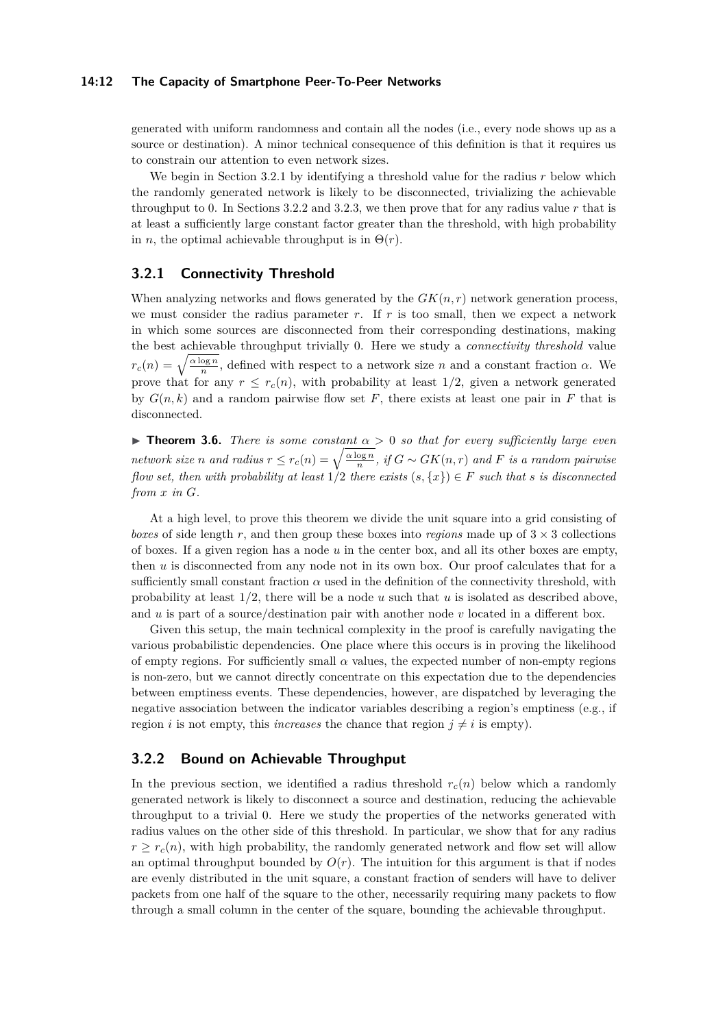#### **14:12 The Capacity of Smartphone Peer-To-Peer Networks**

generated with uniform randomness and contain all the nodes (i.e., every node shows up as a source or destination). A minor technical consequence of this definition is that it requires us to constrain our attention to even network sizes.

We begin in Section [3.2.1](#page-11-0) by identifying a threshold value for the radius *r* below which the randomly generated network is likely to be disconnected, trivializing the achievable throughput to 0. In Sections [3.2.2](#page-11-1) and [3.2.3,](#page-12-1) we then prove that for any radius value *r* that is at least a sufficiently large constant factor greater than the threshold, with high probability in *n*, the optimal achievable throughput is in  $\Theta(r)$ .

## <span id="page-11-0"></span>**3.2.1 Connectivity Threshold**

When analyzing networks and flows generated by the  $GK(n,r)$  network generation process, we must consider the radius parameter  $r$ . If  $r$  is too small, then we expect a network in which some sources are disconnected from their corresponding destinations, making the best achievable throughput trivially 0. Here we study a *connectivity threshold* value  $r_c(n) = \sqrt{\frac{\alpha \log n}{n}}$ , defined with respect to a network size *n* and a constant fraction *α*. We prove that for any  $r \leq r_c(n)$ , with probability at least 1/2, given a network generated by  $G(n, k)$  and a random pairwise flow set F, there exists at least one pair in F that is disconnected.

**Theorem 3.6.** *There is some constant*  $\alpha > 0$  *so that for every sufficiently large even network size n* and radius  $r \leq r_c(n) = \sqrt{\frac{\alpha \log n}{n}}$ , if  $G \sim GK(n,r)$  and  $F$  is a random pairwise *flow set, then with probability at least*  $1/2$  *there exists*  $(s, \{x\}) \in F$  *such that s is disconnected from x in G.*

At a high level, to prove this theorem we divide the unit square into a grid consisting of *boxes* of side length r, and then group these boxes into *regions* made up of  $3 \times 3$  collections of boxes. If a given region has a node *u* in the center box, and all its other boxes are empty, then *u* is disconnected from any node not in its own box. Our proof calculates that for a sufficiently small constant fraction  $\alpha$  used in the definition of the connectivity threshold, with probability at least  $1/2$ , there will be a node *u* such that *u* is isolated as described above, and *u* is part of a source/destination pair with another node *v* located in a different box.

Given this setup, the main technical complexity in the proof is carefully navigating the various probabilistic dependencies. One place where this occurs is in proving the likelihood of empty regions. For sufficiently small  $\alpha$  values, the expected number of non-empty regions is non-zero, but we cannot directly concentrate on this expectation due to the dependencies between emptiness events. These dependencies, however, are dispatched by leveraging the negative association between the indicator variables describing a region's emptiness (e.g., if region *i* is not empty, this *increases* the chance that region  $j \neq i$  is empty).

## <span id="page-11-1"></span>**3.2.2 Bound on Achievable Throughput**

In the previous section, we identified a radius threshold  $r_c(n)$  below which a randomly generated network is likely to disconnect a source and destination, reducing the achievable throughput to a trivial 0. Here we study the properties of the networks generated with radius values on the other side of this threshold. In particular, we show that for any radius  $r \geq r_c(n)$ , with high probability, the randomly generated network and flow set will allow an optimal throughput bounded by  $O(r)$ . The intuition for this argument is that if nodes are evenly distributed in the unit square, a constant fraction of senders will have to deliver packets from one half of the square to the other, necessarily requiring many packets to flow through a small column in the center of the square, bounding the achievable throughput.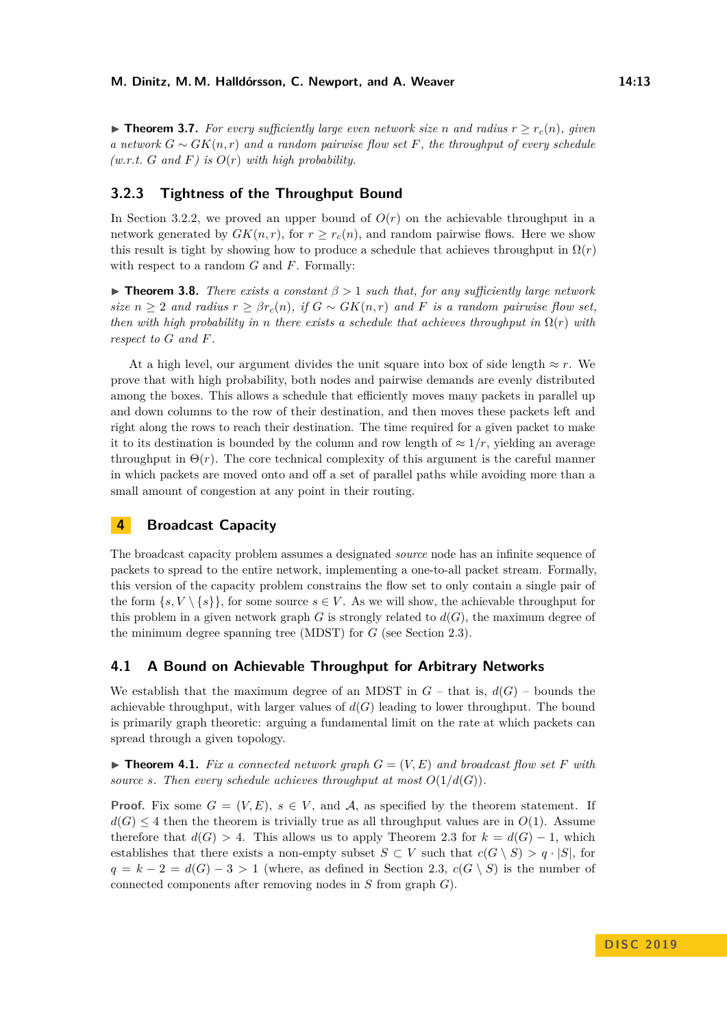▶ **Theorem 3.7.** For every sufficiently large even network size *n* and radius  $r > r_c(n)$ , given *a network*  $G ∼ GK(n,r)$  *and a random pairwise flow set*  $F$ *, the throughput of every schedule*  $(w.r.t. G and F)$  *is*  $O(r)$  *with high probability.* 

## <span id="page-12-1"></span>**3.2.3 Tightness of the Throughput Bound**

In Section [3.2.2,](#page-11-1) we proved an upper bound of  $O(r)$  on the achievable throughput in a network generated by  $GK(n, r)$ , for  $r \geq r_c(n)$ , and random pairwise flows. Here we show this result is tight by showing how to produce a schedule that achieves throughput in  $\Omega(r)$ with respect to a random *G* and *F*. Formally:

**Figure 1.8. Theorem 3.8.** *There exists a constant*  $\beta > 1$  *such that, for any sufficiently large network size*  $n \geq 2$  *and radius*  $r \geq \beta r_c(n)$ *, if*  $G \sim GK(n,r)$  *and*  $F$  *is a random pairwise flow set, then with high probability in n there exists a schedule that achieves throughput in*  $\Omega(r)$  *with respect to G and F.*

At a high level, our argument divides the unit square into box of side length  $\approx r$ . We prove that with high probability, both nodes and pairwise demands are evenly distributed among the boxes. This allows a schedule that efficiently moves many packets in parallel up and down columns to the row of their destination, and then moves these packets left and right along the rows to reach their destination. The time required for a given packet to make it to its destination is bounded by the column and row length of  $\approx 1/r$ , yielding an average throughput in  $\Theta(r)$ . The core technical complexity of this argument is the careful manner in which packets are moved onto and off a set of parallel paths while avoiding more than a small amount of congestion at any point in their routing.

# <span id="page-12-2"></span>**4 Broadcast Capacity**

The broadcast capacity problem assumes a designated *source* node has an infinite sequence of packets to spread to the entire network, implementing a one-to-all packet stream. Formally, this version of the capacity problem constrains the flow set to only contain a single pair of the form  $\{s, V \setminus \{s\}\}\$ , for some source  $s \in V$ . As we will show, the achievable throughput for this problem in a given network graph  $G$  is strongly related to  $d(G)$ , the maximum degree of the minimum degree spanning tree (MDST) for *G* (see Section [2.3\)](#page-6-0).

## <span id="page-12-0"></span>**4.1 A Bound on Achievable Throughput for Arbitrary Networks**

We establish that the maximum degree of an MDST in  $G$  – that is,  $d(G)$  – bounds the achievable throughput, with larger values of  $d(G)$  leading to lower throughput. The bound is primarily graph theoretic: arguing a fundamental limit on the rate at which packets can spread through a given topology.

<span id="page-12-3"></span> $\triangleright$  **Theorem 4.1.** Fix a connected network graph  $G = (V, E)$  and broadcast flow set F with *source s. Then every schedule achieves throughput at most*  $O(1/d(G))$ *.* 

**Proof.** Fix some  $G = (V, E)$ ,  $s \in V$ , and A, as specified by the theorem statement. If  $d(G) \leq 4$  then the theorem is trivially true as all throughput values are in  $O(1)$ . Assume therefore that  $d(G) > 4$ . This allows us to apply Theorem [2.3](#page-7-2) for  $k = d(G) - 1$ , which establishes that there exists a non-empty subset  $S \subset V$  such that  $c(G \setminus S) > q \cdot |S|$ , for  $q = k - 2 = d(G) - 3 > 1$  (where, as defined in Section [2.3,](#page-6-0)  $c(G \setminus S)$ ) is the number of connected components after removing nodes in *S* from graph *G*).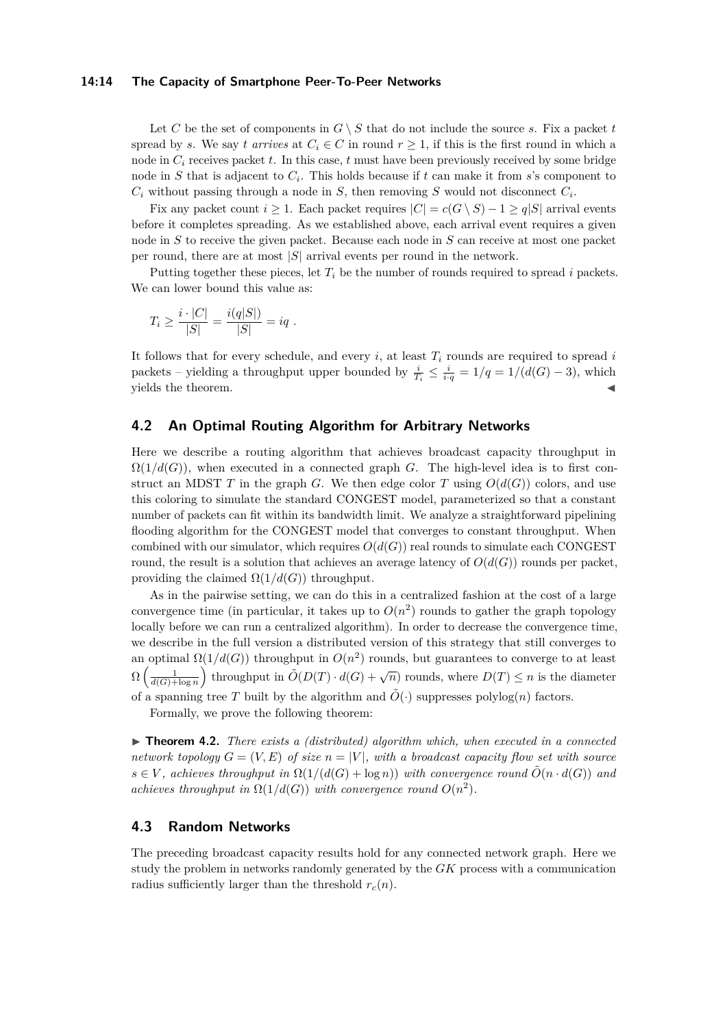#### **14:14 The Capacity of Smartphone Peer-To-Peer Networks**

Let C be the set of components in  $G \setminus S$  that do not include the source *s*. Fix a packet *t* spread by *s*. We say *t arrives* at  $C_i \in C$  in round  $r \geq 1$ , if this is the first round in which a node in  $C_i$  receives packet  $t$ . In this case,  $t$  must have been previously received by some bridge node in *S* that is adjacent to *C<sup>i</sup>* . This holds because if *t* can make it from *s*'s component to  $C_i$  without passing through a node in  $S$ , then removing  $S$  would not disconnect  $C_i$ .

Fix any packet count  $i \geq 1$ . Each packet requires  $|C| = c(G \setminus S) - 1 \geq q|S|$  arrival events before it completes spreading. As we established above, each arrival event requires a given node in *S* to receive the given packet. Because each node in *S* can receive at most one packet per round, there are at most |*S*| arrival events per round in the network.

Putting together these pieces, let  $T_i$  be the number of rounds required to spread  $i$  packets. We can lower bound this value as:

$$
T_i \ge \frac{i \cdot |C|}{|S|} = \frac{i(q|S|)}{|S|} = iq.
$$

It follows that for every schedule, and every *i*, at least *T<sup>i</sup>* rounds are required to spread *i* packets – yielding a throughput upper bounded by  $\frac{i}{T_i} \leq \frac{i}{i \cdot q} = 1/q = 1/(d(G) - 3)$ , which yields the theorem.

# <span id="page-13-0"></span>**4.2 An Optimal Routing Algorithm for Arbitrary Networks**

Here we describe a routing algorithm that achieves broadcast capacity throughput in  $\Omega(1/d(G))$ , when executed in a connected graph *G*. The high-level idea is to first construct an MDST *T* in the graph *G*. We then edge color *T* using  $O(d(G))$  colors, and use this coloring to simulate the standard CONGEST model, parameterized so that a constant number of packets can fit within its bandwidth limit. We analyze a straightforward pipelining flooding algorithm for the CONGEST model that converges to constant throughput. When combined with our simulator, which requires  $O(d(G))$  real rounds to simulate each CONGEST round, the result is a solution that achieves an average latency of  $O(d(G))$  rounds per packet, providing the claimed  $\Omega(1/d(G))$  throughput.

As in the pairwise setting, we can do this in a centralized fashion at the cost of a large convergence time (in particular, it takes up to  $O(n^2)$  rounds to gather the graph topology locally before we can run a centralized algorithm). In order to decrease the convergence time, we describe in the full version a distributed version of this strategy that still converges to an optimal  $\Omega(1/d(G))$  throughput in  $O(n^2)$  rounds, but guarantees to converge to at least  $\Omega\left(\frac{1}{d(G)+\log n}\right)$  throughput in  $\tilde{O}(D(T) \cdot d(G) + \sqrt{n})$  rounds, where  $D(T) \leq n$  is the diameter of a spanning tree *T* built by the algorithm and  $\tilde{O}(\cdot)$  suppresses polylog(*n*) factors.

Formally, we prove the following theorem:

<span id="page-13-2"></span>▶ **Theorem 4.2.** *There exists a (distributed) algorithm which, when executed in a connected network topology*  $G = (V, E)$  *of size*  $n = |V|$ *, with a broadcast capacity flow set with source*  $s \in V$ , achieves throughput in  $\Omega(1/(d(G) + \log n))$  with convergence round  $\tilde{O}(n \cdot d(G))$  and *achieves throughput in*  $\Omega(1/d(G))$  *with convergence round*  $O(n^2)$ *.* 

# <span id="page-13-1"></span>**4.3 Random Networks**

The preceding broadcast capacity results hold for any connected network graph. Here we study the problem in networks randomly generated by the *GK* process with a communication radius sufficiently larger than the threshold  $r_c(n)$ .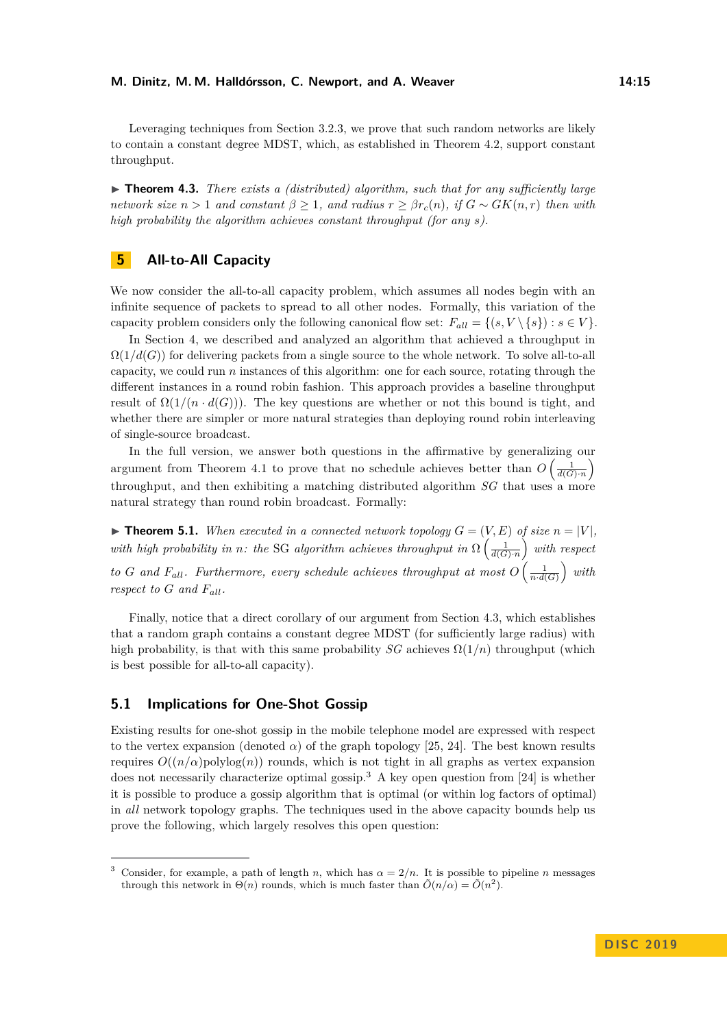Leveraging techniques from Section [3.2.3,](#page-12-1) we prove that such random networks are likely to contain a constant degree MDST, which, as established in Theorem [4.2,](#page-13-2) support constant throughput.

▶ **Theorem 4.3.** *There exists a (distributed) algorithm, such that for any sufficiently large network size*  $n > 1$  *and constant*  $\beta \geq 1$ *, and radius*  $r \geq \beta r_c(n)$ *, if*  $G \sim GK(n,r)$  *then with high probability the algorithm achieves constant throughput (for any s).*

# <span id="page-14-0"></span>**5 All-to-All Capacity**

We now consider the all-to-all capacity problem, which assumes all nodes begin with an infinite sequence of packets to spread to all other nodes. Formally, this variation of the capacity problem considers only the following canonical flow set:  $F_{all} = \{(s, V \setminus \{s\}) : s \in V\}.$ 

In Section [4,](#page-12-2) we described and analyzed an algorithm that achieved a throughput in  $\Omega(1/d(G))$  for delivering packets from a single source to the whole network. To solve all-to-all capacity, we could run *n* instances of this algorithm: one for each source, rotating through the different instances in a round robin fashion. This approach provides a baseline throughput result of  $\Omega(1/(n \cdot d(G)))$ . The key questions are whether or not this bound is tight, and whether there are simpler or more natural strategies than deploying round robin interleaving of single-source broadcast.

In the full version, we answer both questions in the affirmative by generalizing our argument from Theorem [4.1](#page-12-3) to prove that no schedule achieves better than  $O\left(\frac{1}{d(G)\cdot n}\right)$ throughput, and then exhibiting a matching distributed algorithm *SG* that uses a more natural strategy than round robin broadcast. Formally:

 $\blacktriangleright$  **Theorem 5.1.** When executed in a connected network topology  $G = (V, E)$  of size  $n = |V|$ . *with high probability in n: the* SG *algorithm achieves throughput in*  $\Omega\left(\frac{1}{d(G)}\right)$  *with respect to G* and  $F_{all}$ *. Furthermore, every schedule achieves throughput at most*  $O\left(\frac{1}{n \cdot d(G)}\right)$  with *respect to*  $G$  *and*  $F_{all}$ *.* 

Finally, notice that a direct corollary of our argument from Section [4.3,](#page-13-1) which establishes that a random graph contains a constant degree MDST (for sufficiently large radius) with high probability, is that with this same probability *SG* achieves  $\Omega(1/n)$  throughput (which is best possible for all-to-all capacity).

## <span id="page-14-1"></span>**5.1 Implications for One-Shot Gossip**

Existing results for one-shot gossip in the mobile telephone model are expressed with respect to the vertex expansion (denoted  $\alpha$ ) of the graph topology [\[25,](#page-16-3) [24\]](#page-16-2). The best known results requires  $O((n/\alpha)$ polylog $(n)$ ) rounds, which is not tight in all graphs as vertex expansion does not necessarily characterize optimal gossip.<sup>[3](#page-14-2)</sup> A key open question from [\[24\]](#page-16-2) is whether it is possible to produce a gossip algorithm that is optimal (or within log factors of optimal) in *all* network topology graphs. The techniques used in the above capacity bounds help us prove the following, which largely resolves this open question:

<span id="page-14-2"></span>Consider, for example, a path of length *n*, which has  $\alpha = 2/n$ . It is possible to pipeline *n* messages through this network in  $\Theta(n)$  rounds, which is much faster than  $\tilde{O}(n/\alpha) = \tilde{O}(n^2)$ .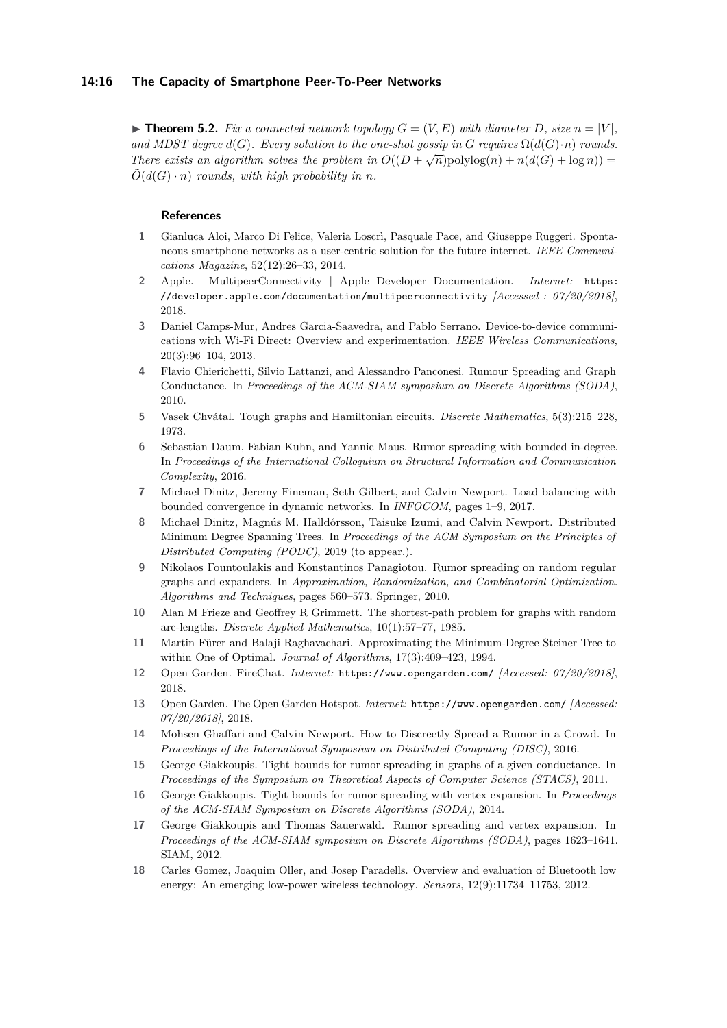#### **14:16 The Capacity of Smartphone Peer-To-Peer Networks**

 $\blacktriangleright$  **Theorem 5.2.** Fix a connected network topology  $G = (V, E)$  with diameter D, size  $n = |V|$ . *and MDST degree*  $d(G)$ *. Every solution to the one-shot gossip in*  $G$  *requires*  $\Omega(d(G) \cdot n)$  *rounds. There exists an algorithm solves the problem in*  $O((D + \sqrt{n})\text{polylog}(n) + n(d(G) + \log n)) =$  $\tilde{O}(d(G) \cdot n)$  *rounds, with high probability in n.* 

#### **References**

- <span id="page-15-16"></span>**1** Gianluca Aloi, Marco Di Felice, Valeria Loscrì, Pasquale Pace, and Giuseppe Ruggeri. Spontaneous smartphone networks as a user-centric solution for the future internet. *IEEE Communications Magazine*, 52(12):26–33, 2014.
- <span id="page-15-7"></span>**2** Apple. MultipeerConnectivity | Apple Developer Documentation. *Internet:* [https:](https://developer.apple.com/documentation/multipeerconnectivity) [//developer.apple.com/documentation/multipeerconnectivity](https://developer.apple.com/documentation/multipeerconnectivity) *[Accessed : 07/20/2018]*, 2018.
- <span id="page-15-14"></span>**3** Daniel Camps-Mur, Andres Garcia-Saavedra, and Pablo Serrano. Device-to-device communications with Wi-Fi Direct: Overview and experimentation. *IEEE Wireless Communications*, 20(3):96–104, 2013.
- <span id="page-15-3"></span>**4** Flavio Chierichetti, Silvio Lattanzi, and Alessandro Panconesi. Rumour Spreading and Graph Conductance. In *Proceedings of the ACM-SIAM symposium on Discrete Algorithms (SODA)*, 2010.
- <span id="page-15-10"></span>**5** Vasek Chvátal. Tough graphs and Hamiltonian circuits. *Discrete Mathematics*, 5(3):215–228, 1973.
- <span id="page-15-8"></span>**6** Sebastian Daum, Fabian Kuhn, and Yannic Maus. Rumor spreading with bounded in-degree. In *Proceedings of the International Colloquium on Structural Information and Communication Complexity*, 2016.
- <span id="page-15-9"></span>**7** Michael Dinitz, Jeremy Fineman, Seth Gilbert, and Calvin Newport. Load balancing with bounded convergence in dynamic networks. In *INFOCOM*, pages 1–9, 2017.
- <span id="page-15-12"></span>**8** Michael Dinitz, Magnús M. Halldórsson, Taisuke Izumi, and Calvin Newport. Distributed Minimum Degree Spanning Trees. In *Proceedings of the ACM Symposium on the Principles of Distributed Computing (PODC)*, 2019 (to appear.).
- <span id="page-15-5"></span>**9** Nikolaos Fountoulakis and Konstantinos Panagiotou. Rumor spreading on random regular graphs and expanders. In *Approximation, Randomization, and Combinatorial Optimization. Algorithms and Techniques*, pages 560–573. Springer, 2010.
- <span id="page-15-1"></span>**10** Alan M Frieze and Geoffrey R Grimmett. The shortest-path problem for graphs with random arc-lengths. *Discrete Applied Mathematics*, 10(1):57–77, 1985.
- <span id="page-15-11"></span>**11** Martin Fürer and Balaji Raghavachari. Approximating the Minimum-Degree Steiner Tree to within One of Optimal. *Journal of Algorithms*, 17(3):409–423, 1994.
- <span id="page-15-15"></span>**12** Open Garden. FireChat. *Internet:* <https://www.opengarden.com/> *[Accessed: 07/20/2018]*, 2018.
- <span id="page-15-17"></span>**13** Open Garden. The Open Garden Hotspot. *Internet:* <https://www.opengarden.com/> *[Accessed: 07/20/2018]*, 2018.
- <span id="page-15-0"></span>**14** Mohsen Ghaffari and Calvin Newport. How to Discreetly Spread a Rumor in a Crowd. In *Proceedings of the International Symposium on Distributed Computing (DISC)*, 2016.
- <span id="page-15-2"></span>**15** George Giakkoupis. Tight bounds for rumor spreading in graphs of a given conductance. In *Proceedings of the Symposium on Theoretical Aspects of Computer Science (STACS)*, 2011.
- <span id="page-15-6"></span>**16** George Giakkoupis. Tight bounds for rumor spreading with vertex expansion. In *Proceedings of the ACM-SIAM Symposium on Discrete Algorithms (SODA)*, 2014.
- <span id="page-15-4"></span>**17** George Giakkoupis and Thomas Sauerwald. Rumor spreading and vertex expansion. In *Proceedings of the ACM-SIAM symposium on Discrete Algorithms (SODA)*, pages 1623–1641. SIAM, 2012.
- <span id="page-15-13"></span>**18** Carles Gomez, Joaquim Oller, and Josep Paradells. Overview and evaluation of Bluetooth low energy: An emerging low-power wireless technology. *Sensors*, 12(9):11734–11753, 2012.